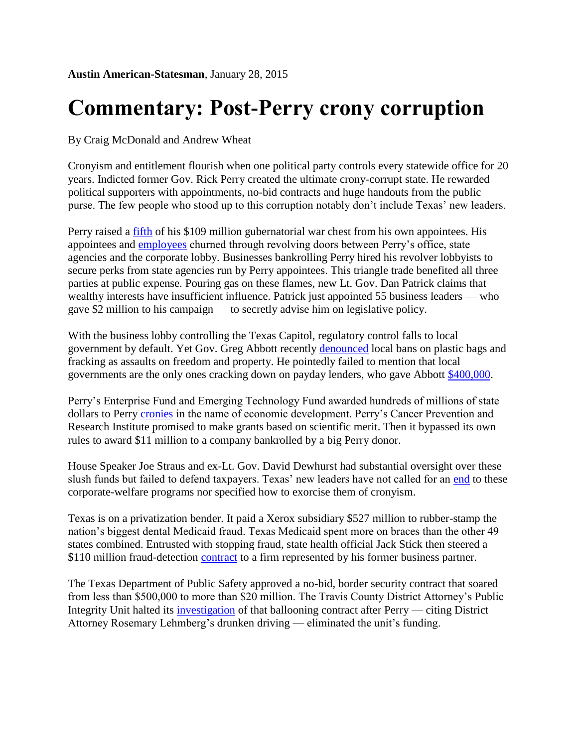## **Commentary: Post-Perry crony corruption**

By Craig McDonald and Andrew Wheat

Cronyism and entitlement flourish when one political party controls every statewide office for 20 years. Indicted former Gov. Rick Perry created the ultimate crony-corrupt state. He rewarded political supporters with appointments, no-bid contracts and huge handouts from the public purse. The few people who stood up to this corruption notably don't include Texas' new leaders.

Perry raised a [fifth](http://www.mystatesman.com/news/news/the-rick-perry-legacy-government-overseers-who-thi/nhRK7/#2348c60a.3355575.735585) of his \$109 million gubernatorial war chest from his own appointees. His appointees and [employees](http://www.mystatesman.com/news/news/state-regional-govt-politics/as-perrys-term-ends-200-plus-former-aides-remain-i/njbbF/#53c883af.3355575.735603) churned through revolving doors between Perry's office, state agencies and the corporate lobby. Businesses bankrolling Perry hired his revolver lobbyists to secure perks from state agencies run by Perry appointees. This triangle trade benefited all three parties at public expense. Pouring gas on these flames, new Lt. Gov. Dan Patrick claims that wealthy interests have insufficient influence. Patrick just appointed 55 business leaders — who gave \$2 million to his campaign — to secretly advise him on legislative policy.

With the business lobby controlling the Texas Capitol, regulatory control falls to local government by default. Yet Gov. Greg Abbott recently [denounced](http://www.statesman.com/news/news/state-regional/gov-elect-abbott-end-local-bans-on-bags-fracking-t/njjQg/) local bans on plastic bags and fracking as assaults on freedom and property. He pointedly failed to mention that local governments are the only ones cracking down on payday lenders, who gave Abbott [\\$400,000.](http://info.tpj.org/press_releases/pdf/PaydayAbbottDavis.pr.pdf)

Perry's Enterprise Fund and Emerging Technology Fund awarded hundreds of millions of state dollars to Perry [cronies](http://info.tpj.org/reports/pdf/PerryPiggybankTEF.pdf) in the name of economic development. Perry's Cancer Prevention and Research Institute promised to make grants based on scientific merit. Then it bypassed its own rules to award \$11 million to a company bankrolled by a big Perry donor.

House Speaker Joe Straus and ex-Lt. Gov. David Dewhurst had substantial oversight over these slush funds but failed to defend taxpayers. Texas' new leaders have not called for an [end](http://www.mystatesman.com/news/business/top-local-business-stories-of-the-week/njn47/#1d175ddd.3355575.735617) to these corporate-welfare programs nor specified how to exorcise them of cronyism.

Texas is on a privatization bender. It paid a Xerox subsidiary \$527 million to rubber-stamp the nation's biggest dental Medicaid fraud. Texas Medicaid spent more on braces than the other 49 states combined. Entrusted with stopping fraud, state health official Jack Stick then steered a \$110 million fraud-detection [contract](http://www.statesman.com/news/news/state-regional-govt-politics/top-health-offficials-resigns-over-contract-concer/njRMB/) to a firm represented by his former business partner.

The Texas Department of Public Safety approved a no-bid, border security contract that soared from less than \$500,000 to more than \$20 million. The Travis County District Attorney's Public Integrity Unit halted its [investigation](http://www.statesman.com/news/news/state-regional-govt-politics/perry-veto-hobbled-probe-into-multimillion-dollar-/njqbQ/) of that ballooning contract after Perry — citing District Attorney Rosemary Lehmberg's drunken driving — eliminated the unit's funding.